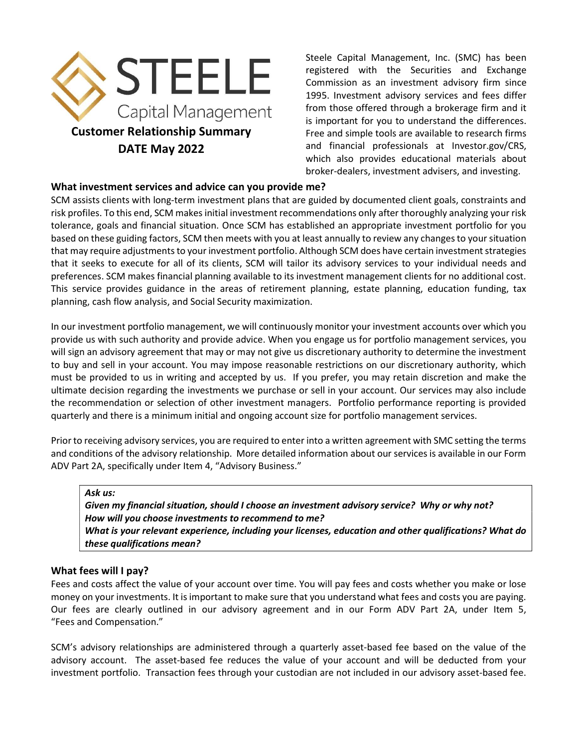

Steele Capital Management, Inc. (SMC) has been registered with the Securities and Exchange Commission as an investment advisory firm since 1995. Investment advisory services and fees differ from those offered through a brokerage firm and it is important for you to understand the differences. Free and simple tools are available to research firms and financial professionals at Investor.gov/CRS, which also provides educational materials about broker-dealers, investment advisers, and investing.

## What investment services and advice can you provide me?

SCM assists clients with long-term investment plans that are guided by documented client goals, constraints and risk profiles. To this end, SCM makes initial investment recommendations only after thoroughly analyzing your risk tolerance, goals and financial situation. Once SCM has established an appropriate investment portfolio for you based on these guiding factors, SCM then meets with you at least annually to review any changes to your situation that may require adjustments to your investment portfolio. Although SCM does have certain investment strategies that it seeks to execute for all of its clients, SCM will tailor its advisory services to your individual needs and preferences. SCM makes financial planning available to its investment management clients for no additional cost. This service provides guidance in the areas of retirement planning, estate planning, education funding, tax planning, cash flow analysis, and Social Security maximization.

In our investment portfolio management, we will continuously monitor your investment accounts over which you provide us with such authority and provide advice. When you engage us for portfolio management services, you will sign an advisory agreement that may or may not give us discretionary authority to determine the investment to buy and sell in your account. You may impose reasonable restrictions on our discretionary authority, which must be provided to us in writing and accepted by us. If you prefer, you may retain discretion and make the ultimate decision regarding the investments we purchase or sell in your account. Our services may also include the recommendation or selection of other investment managers. Portfolio performance reporting is provided quarterly and there is a minimum initial and ongoing account size for portfolio management services.

Prior to receiving advisory services, you are required to enter into a written agreement with SMC setting the terms and conditions of the advisory relationship. More detailed information about our services is available in our Form ADV Part 2A, specifically under Item 4, "Advisory Business."

#### Ask us:

Given my financial situation, should I choose an investment advisory service? Why or why not? How will you choose investments to recommend to me? What is your relevant experience, including your licenses, education and other qualifications? What do these qualifications mean?

## What fees will I pay?

Fees and costs affect the value of your account over time. You will pay fees and costs whether you make or lose money on your investments. It is important to make sure that you understand what fees and costs you are paying. Our fees are clearly outlined in our advisory agreement and in our Form ADV Part 2A, under Item 5, "Fees and Compensation."

SCM's advisory relationships are administered through a quarterly asset-based fee based on the value of the advisory account. The asset-based fee reduces the value of your account and will be deducted from your investment portfolio. Transaction fees through your custodian are not included in our advisory asset-based fee.